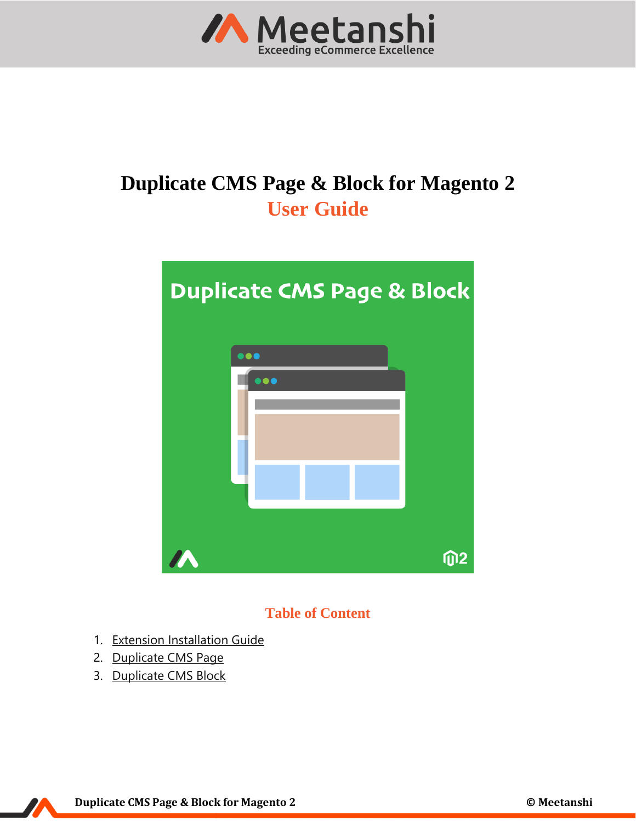

# **Duplicate CMS Page & Block for Magento 2 User Guide**



# **Table of Content**

- 1. [Extension Installation Guide](#page-1-0)
- 2. [Duplicate CMS Page](#page-1-1)
- 3. [Duplicate CMS Block](#page-4-0)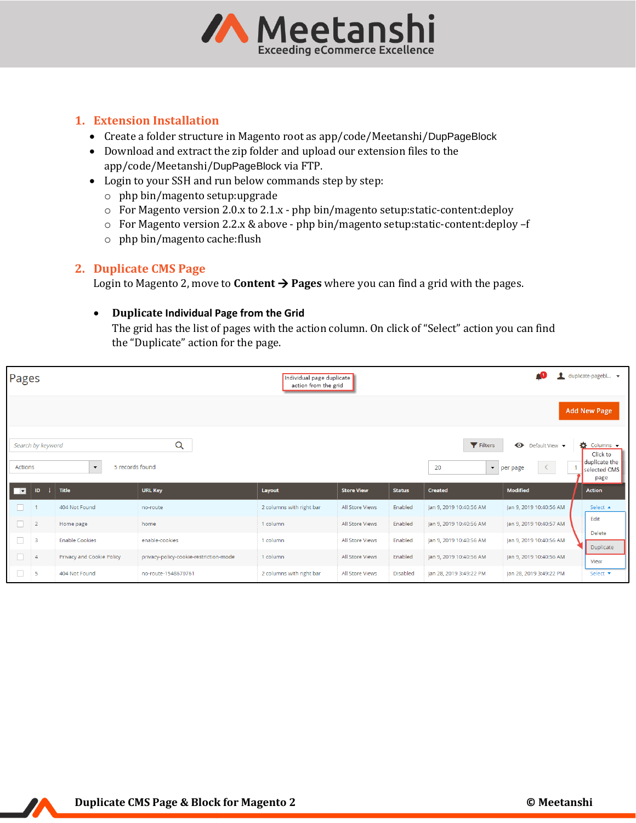

## <span id="page-1-0"></span>**1. Extension Installation**

- Create a folder structure in Magento root as app/code/Meetanshi/DupPageBlock
- Download and extract the zip folder and upload our extension files to the app/code/Meetanshi/DupPageBlock via FTP.
- Login to your SSH and run below commands step by step:
	- o php bin/magento setup:upgrade
	- o For Magento version 2.0.x to 2.1.x php bin/magento setup:static-content:deploy
	- o For Magento version 2.2.x & above php bin/magento setup:static-content:deploy –f
	- o php bin/magento cache:flush

#### <span id="page-1-1"></span>**2. Duplicate CMS Page**

Login to Magento 2, move to **Content**  $\rightarrow$  **Pages** where you can find a grid with the pages.

#### • **Duplicate Individual Page from the Grid**

The grid has the list of pages with the action column. On click of "Select" action you can find the "Duplicate" action for the page.

| Pages                                                            |                |                           |                                        | Individual page duplicate<br>action from the grid |                   |               |                                      | ۵O                                                       | duplicate-pagebl v  |
|------------------------------------------------------------------|----------------|---------------------------|----------------------------------------|---------------------------------------------------|-------------------|---------------|--------------------------------------|----------------------------------------------------------|---------------------|
|                                                                  |                |                           |                                        |                                                   |                   |               |                                      |                                                          | <b>Add New Page</b> |
| Q<br>Filters<br>$\bullet$<br>Search by keyword<br>Default View ▼ |                |                           |                                        |                                                   |                   |               |                                      | $\bullet$ Columns $\bullet$<br>Click to<br>duplicate the |                     |
| $\blacktriangledown$<br>Actions<br>5 records found               |                |                           |                                        |                                                   |                   | 20            | $\blacktriangleright$ per page<br>K. | selected CMS<br>page                                     |                     |
| □                                                                | ID             | <b>Title</b>              | <b>URL Key</b>                         | Layout                                            | <b>Store View</b> | <b>Status</b> | Created                              | <b>Modified</b>                                          | <b>Action</b>       |
| <b>Tale</b>                                                      |                | 404 Not Found             | no-route                               | 2 columns with right bar                          | All Store Views   | Enabled       | Jan 9, 2019 10:40:56 AM              | Jan 9, 2019 10:40:56 AM                                  | Select $\triangle$  |
| П.                                                               | $\overline{2}$ | Home page                 | home                                   | 1 column                                          | All Store Views   | Enabled       | Jan 9, 2019 10:40:56 AM              | Jan 9, 2019 10:40:57 AM                                  | Edit                |
| $\Box$                                                           | 3              | <b>Enable Cookies</b>     | enable-cookies                         | 1 column                                          | All Store Views   | Enabled       | Jan 9, 2019 10:40:56 AM              | Jan 9, 2019 10:40:56 AM                                  | Delete<br>Duplicate |
| $\Box$                                                           | $\overline{4}$ | Privacy and Cookie Policy | privacy-policy-cookie-restriction-mode | 1 column                                          | All Store Views   | Enabled       | Jan 9, 2019 10:40:56 AM              | Jan 9, 2019 10:40:56 AM                                  | View                |
| □                                                                | 5              | 404 Not Found             | no-route-1548670761                    | 2 columns with right bar                          | All Store Views   | Disabled      | Jan 28, 2019 3:49:22 PM              | Jan 28, 2019 3:49:22 PM                                  | Select v            |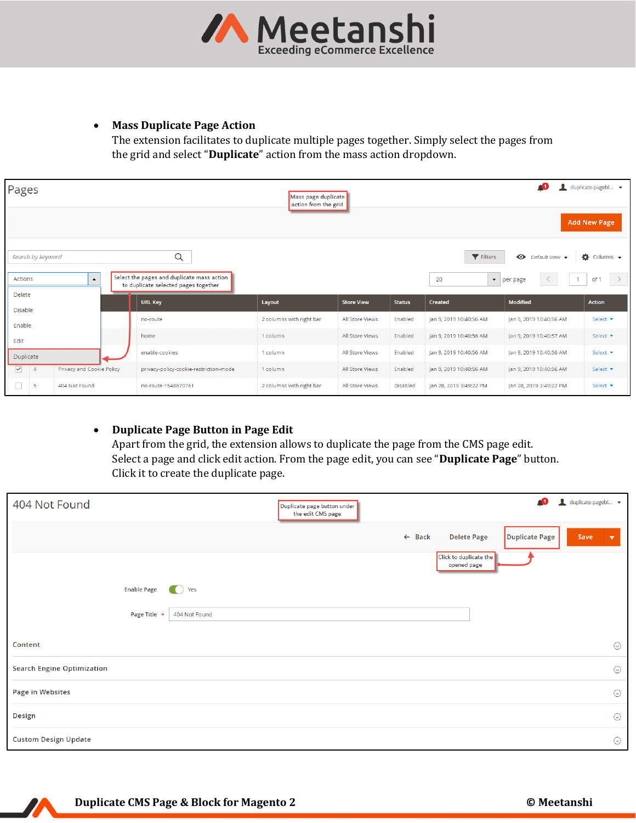

#### • **Mass Duplicate Page Action**

The extension facilitates to duplicate multiple pages together. Simply select the pages from the grid and select "**Duplicate**" action from the mass action dropdown.

| Pages                                                                            |                           |                                      |                                        | Mass page duplicate<br>action from the grid |                   |               |                                                  | 40                          | duplicate-pagebl v          |
|----------------------------------------------------------------------------------|---------------------------|--------------------------------------|----------------------------------------|---------------------------------------------|-------------------|---------------|--------------------------------------------------|-----------------------------|-----------------------------|
|                                                                                  |                           |                                      |                                        |                                             |                   |               |                                                  |                             | <b>Add New Page</b>         |
| Search by keyword                                                                |                           |                                      | Q                                      |                                             |                   |               | Filters                                          | $\bullet$<br>Default View ▼ | $\bullet$ Columns $\bullet$ |
| Select the pages and duplicate mass action<br>$\blacktriangle$<br><b>Actions</b> |                           | to duplicate selected pages together |                                        |                                             |                   | 20            | $\blacktriangleright$   per page<br>$\mathbf{1}$ | $\rightarrow$<br>of         |                             |
| Delete                                                                           |                           |                                      | <b>URL Key</b>                         | Layout                                      | <b>Store View</b> | <b>Status</b> | Created                                          | <b>Modified</b>             | <b>Action</b>               |
| <b>Disable</b>                                                                   |                           |                                      | no-route                               | 2 columns with right bar                    | All Store Views   | Enabled       | Jan 9, 2019 10:40:56 AM                          | Jan 9, 2019 10:40:56 AM     | Select v                    |
| Enable                                                                           |                           |                                      |                                        |                                             |                   |               |                                                  |                             |                             |
| Edit                                                                             |                           |                                      | home                                   | 1 column                                    | All Store Views   | Enabled       | Jan 9, 2019 10:40:56 AM                          | Jan 9, 2019 10:40:57 AM     | Select v                    |
| Duplicate                                                                        |                           |                                      | enable-cookies                         | 1 column                                    | All Store Views   | Enabled       | Jan 9, 2019 10:40:56 AM                          | Jan 9, 2019 10:40:56 AM     | Select v                    |
| $\blacktriangledown$<br>$\overline{4}$                                           | Privacy and Cookie Policy |                                      | privacy-policy-cookie-restriction-mode | 1 column                                    | All Store Views   | Enabled       | Jan 9, 2019 10:40:56 AM                          | Jan 9, 2019 10:40:56 AM     | Select v                    |
| $\Box$<br>5                                                                      | 404 Not Found             |                                      | no-route-1548670761                    | 2 columns with right bar                    | All Store Views   | Disabled      | Jan 28, 2019 3:49:22 PM                          | Jan 28, 2019 3:49:22 PM     | Select v                    |

## • **Duplicate Page Button in Page Edit**

Apart from the grid, the extension allows to duplicate the page from the CMS page edit. Select a page and click edit action. From the page edit, you can see "**Duplicate Page**" button. Click it to create the duplicate page.

| 404 Not Found                     | Duplicate page button under<br>the edit CMS page |                   | Æ                                                                             | duplicate-pagebl v              |
|-----------------------------------|--------------------------------------------------|-------------------|-------------------------------------------------------------------------------|---------------------------------|
|                                   |                                                  | $\leftarrow$ Back | <b>Delete Page</b><br>Duplicate Page<br>Click to duplicate the<br>opened page | Save<br>$\overline{\mathbf{v}}$ |
| <b>Enable Page</b>                | Yes<br>$\bullet$                                 |                   |                                                                               |                                 |
| Page Title *                      | 404 Not Found                                    |                   |                                                                               |                                 |
| Content                           |                                                  |                   |                                                                               | $\odot$                         |
| <b>Search Engine Optimization</b> |                                                  |                   |                                                                               | $\odot$                         |
| <b>Page in Websites</b>           |                                                  |                   |                                                                               | $\odot$                         |
| Design                            |                                                  |                   |                                                                               | $\odot$                         |
| <b>Custom Design Update</b>       |                                                  |                   |                                                                               | $\odot$                         |

Z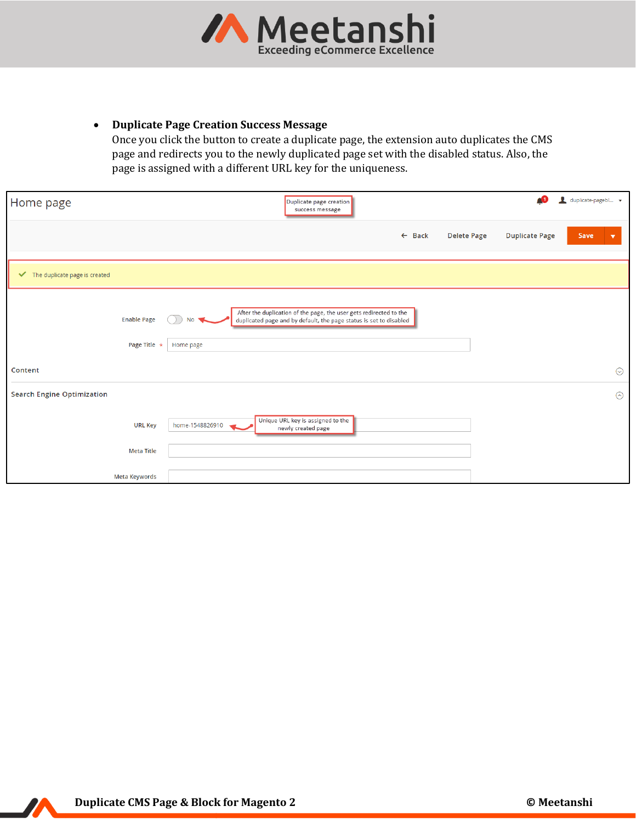

#### • **Duplicate Page Creation Success Message**

Once you click the button to create a duplicate page, the extension auto duplicates the CMS page and redirects you to the newly duplicated page set with the disabled status. Also, the page is assigned with a different URL key for the uniqueness.

| Home page                         |                      |                 | Duplicate page creation<br>success message                                                                                               |  |                   |                    | Æ                     | duplicate-pagebl |         |
|-----------------------------------|----------------------|-----------------|------------------------------------------------------------------------------------------------------------------------------------------|--|-------------------|--------------------|-----------------------|------------------|---------|
|                                   |                      |                 |                                                                                                                                          |  | $\leftarrow$ Back | <b>Delete Page</b> | <b>Duplicate Page</b> | Save             | ▼       |
| The duplicate page is created     |                      |                 |                                                                                                                                          |  |                   |                    |                       |                  |         |
|                                   | <b>Enable Page</b>   | NΟ              | After the duplication of the page, the user gets redirected to the<br>duplicated page and by default, the page status is set to disabled |  |                   |                    |                       |                  |         |
|                                   | Page Title *         | Home page       |                                                                                                                                          |  |                   |                    |                       |                  |         |
| Content                           |                      |                 |                                                                                                                                          |  |                   |                    |                       |                  | $\odot$ |
| <b>Search Engine Optimization</b> |                      |                 |                                                                                                                                          |  |                   |                    |                       |                  | $\odot$ |
|                                   | <b>URL Key</b>       | home-1548826910 | Unique URL key is assigned to the<br>newly created page                                                                                  |  |                   |                    |                       |                  |         |
|                                   | Meta Title           |                 |                                                                                                                                          |  |                   |                    |                       |                  |         |
|                                   | <b>Meta Keywords</b> |                 |                                                                                                                                          |  |                   |                    |                       |                  |         |

Z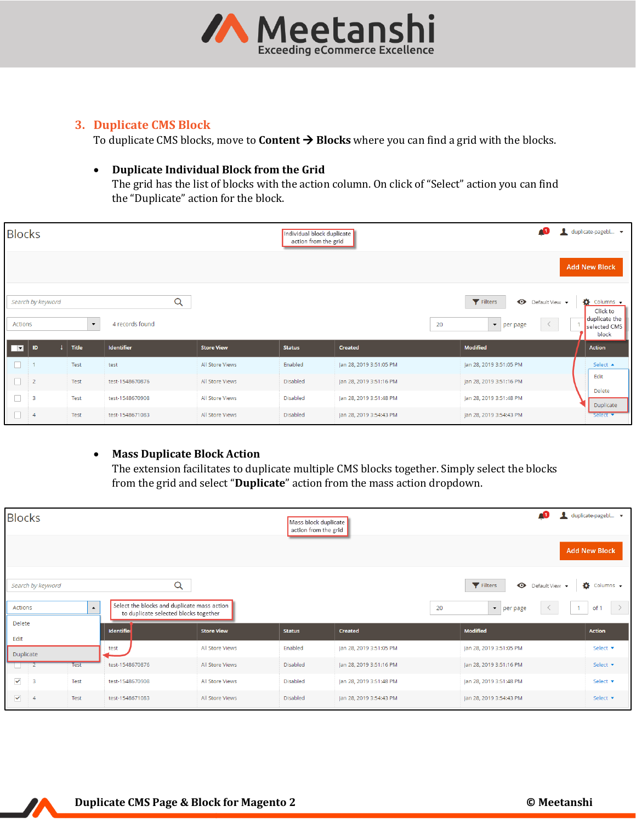

# <span id="page-4-0"></span>**3. Duplicate CMS Block**

To duplicate CMS blocks, move to **Content → Blocks** where you can find a grid with the blocks.

#### • **Duplicate Individual Block from the Grid**

The grid has the list of blocks with the action column. On click of "Select" action you can find the "Duplicate" action for the block.

| <b>Blocks</b> |                   |                    |                 |                   | 40<br>duplicate-pagebl v<br>Individual block duplicate<br>action from the grid |                         |                                              |                                         |  |  |
|---------------|-------------------|--------------------|-----------------|-------------------|--------------------------------------------------------------------------------|-------------------------|----------------------------------------------|-----------------------------------------|--|--|
|               |                   |                    |                 |                   |                                                                                |                         |                                              | <b>Add New Block</b>                    |  |  |
|               | Search by keyword |                    | Q               |                   |                                                                                |                         | Filters<br>$\bullet$<br>Default View ▼       | $\bullet$ Columns $\bullet$<br>Click to |  |  |
| Actions       |                   | $\bar{\mathbf{v}}$ | 4 records found |                   |                                                                                | 20                      | $\langle$<br>$\blacktriangledown$   per page | duplicate the<br>selected CMS<br>block  |  |  |
| <b>ITEL</b>   | ID                | Title              | Identifier      | <b>Store View</b> | <b>Status</b>                                                                  | Created                 | <b>Modified</b>                              | <b>Action</b>                           |  |  |
| n             |                   | Test               | test            | All Store Views   | Enabled                                                                        | Jan 28, 2019 3:51:05 PM | Jan 28, 2019 3:51:05 PM                      | Select ▲                                |  |  |
| $\Box$        | $\overline{2}$    | Test               | test-1548670876 | All Store Views   | Disabled                                                                       | Jan 28, 2019 3:51:16 PM | Jan 28, 2019 3:51:16 PM                      | Edit                                    |  |  |
| $\Box$        | 3                 | Test               | test-1548670908 | All Store Views   | Disabled                                                                       | Jan 28, 2019 3:51:48 PM | Jan 28, 2019 3:51:48 PM                      | <b>Delete</b><br>Duplicate              |  |  |
| n.            | $\overline{4}$    | Test               | test-1548671083 | All Store Views   | Disabled                                                                       | Jan 28, 2019 3:54:43 PM | Jan 28, 2019 3:54:43 PM                      | Select v                                |  |  |

#### • **Mass Duplicate Block Action**

The extension facilitates to duplicate multiple CMS blocks together. Simply select the blocks from the grid and select "**Duplicate**" action from the mass action dropdown.

| <b>Blocks</b>                         |                   |             |                                                                                      |                   | Æ<br>duplicate-pagebl v<br>Mass block duplicate<br>action from the grid<br><b>Add New Block</b> |                         |                                        |                             |  |
|---------------------------------------|-------------------|-------------|--------------------------------------------------------------------------------------|-------------------|-------------------------------------------------------------------------------------------------|-------------------------|----------------------------------------|-----------------------------|--|
|                                       | Search by keyword |             | $\alpha$                                                                             |                   |                                                                                                 |                         | Filters<br>$\bullet$<br>Default View • | $\bullet$ Columns $\bullet$ |  |
| $\blacktriangle$<br>Actions<br>Delete |                   |             | Select the blocks and duplicate mass action<br>to duplicate selected blocks together |                   |                                                                                                 | 20                      | $\blacktriangledown$<br>per page       | of 1                        |  |
| Edit                                  |                   |             | Identifier                                                                           | <b>Store View</b> | <b>Status</b>                                                                                   | Created                 | <b>Modified</b>                        | Action                      |  |
| Duplicate                             |                   |             | test                                                                                 | All Store Views   | Enabled                                                                                         | Jan 28, 2019 3:51:05 PM | Jan 28, 2019 3:51:05 PM                | Select <b>v</b>             |  |
|                                       |                   | <b>Test</b> | test-1548670876                                                                      | All Store Views   | Disabled                                                                                        | Jan 28, 2019 3:51:16 PM | Jan 28, 2019 3:51:16 PM                | Select <b>v</b>             |  |
| $\checkmark$                          | 3                 | Test        | test-1548670908                                                                      | All Store Views   | Disabled                                                                                        | Jan 28, 2019 3:51:48 PM | Jan 28, 2019 3:51:48 PM                | Select v                    |  |
| $\blacktriangledown$                  | $\overline{4}$    | Test        | test-1548671083                                                                      | All Store Views   | Disabled                                                                                        | Jan 28, 2019 3:54:43 PM | Jan 28, 2019 3:54:43 PM                | Select v                    |  |

 $\boldsymbol{v}$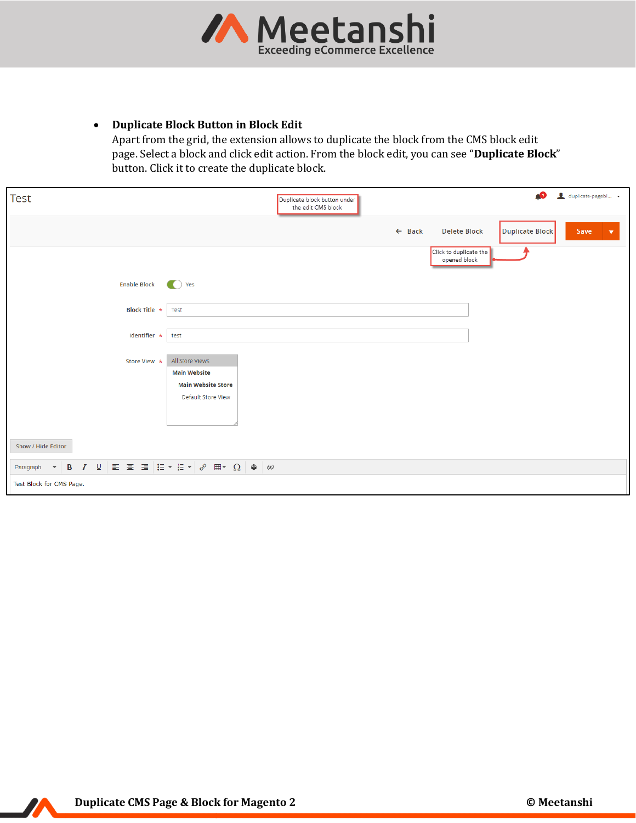

#### • **Duplicate Block Button in Block Edit**

Apart from the grid, the extension allows to duplicate the block from the CMS block edit page. Select a block and click edit action. From the block edit, you can see "**Duplicate Block**" button. Click it to create the duplicate block.

| <b>Test</b>                                        | ۵O<br>duplicate-pagebl v<br>Duplicate block button under<br>the edit CMS block                                        |                      |
|----------------------------------------------------|-----------------------------------------------------------------------------------------------------------------------|----------------------|
|                                                    | Duplicate Block<br>$\leftarrow$ Back<br><b>Delete Block</b><br>Save                                                   | $\blacktriangledown$ |
|                                                    | Click to duplicate the<br>opened block                                                                                |                      |
| <b>Enable Block</b>                                | $\bullet$ Yes                                                                                                         |                      |
| Block Title *                                      | Test                                                                                                                  |                      |
| Identifier *                                       | test                                                                                                                  |                      |
| Store View *                                       | All Store Views<br><b>Main Website</b>                                                                                |                      |
|                                                    | <b>Main Website Store</b>                                                                                             |                      |
|                                                    | Default Store View                                                                                                    |                      |
|                                                    |                                                                                                                       |                      |
| Show / Hide Editor                                 |                                                                                                                       |                      |
| $\mathbf{B}$<br>Paragraph<br>$\hspace{0.1mm}\star$ | $I \cup \equiv \equiv \equiv \equiv  \equiv \cdot   \equiv \cdot   \circ \equiv \cdots  \circ \mid \circ \mid \infty$ |                      |
| Test Block for CMS Page.                           |                                                                                                                       |                      |

11